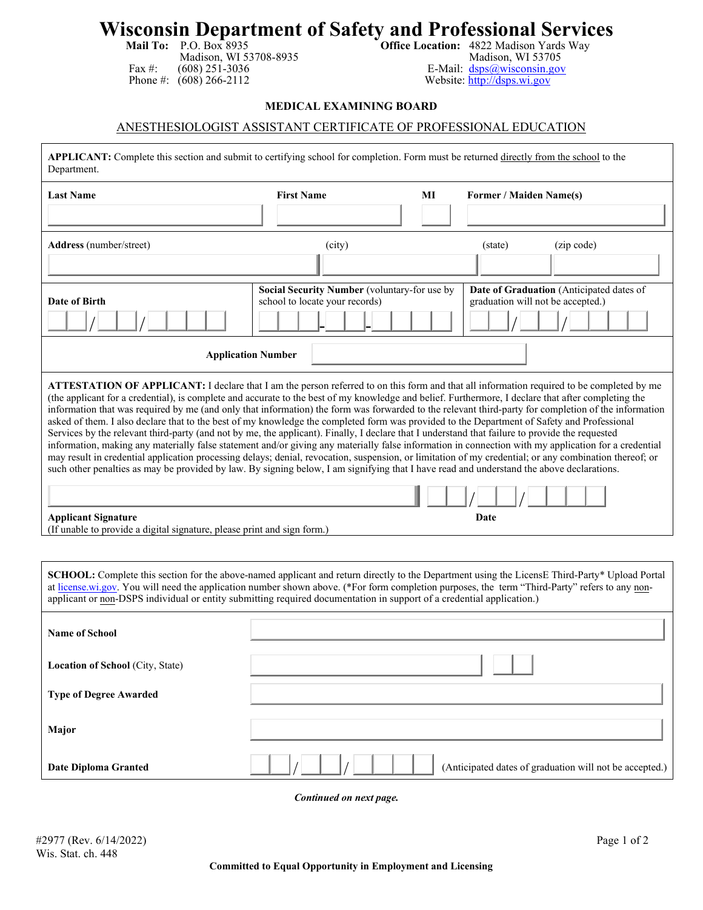## **Wisconsin Department of Safety and Professional Services**<br>Mail To: P.O. Box 8935<br>Madison, WI 53708-8935<br>Madison, WI 53708-8935<br>Madison, WI 53705

Madison, WI 53708-8935<br>(608) 251-3036 Fax #: (608) 251-3036<br>
Phone #: (608) 266-2112<br>
Website: http://dsps.wi.gov

Website: [http://dsps.wi.gov](http://dsps.wi.gov/)

## **MEDICAL EXAMINING BOARD**

## ANESTHESIOLOGIST ASSISTANT CERTIFICATE OF PROFESSIONAL EDUCATION

| APPLICANT: Complete this section and submit to certifying school for completion. Form must be returned directly from the school to the<br>Department.                                                                                                                                                                                                                                                                                                                                                                                                                                                                                                                                                                                                                                                                                                                                                                                                                                                                                                                                                                                                                                                                                                                                                                                      |                                                                                |    |                                                                               |  |
|--------------------------------------------------------------------------------------------------------------------------------------------------------------------------------------------------------------------------------------------------------------------------------------------------------------------------------------------------------------------------------------------------------------------------------------------------------------------------------------------------------------------------------------------------------------------------------------------------------------------------------------------------------------------------------------------------------------------------------------------------------------------------------------------------------------------------------------------------------------------------------------------------------------------------------------------------------------------------------------------------------------------------------------------------------------------------------------------------------------------------------------------------------------------------------------------------------------------------------------------------------------------------------------------------------------------------------------------|--------------------------------------------------------------------------------|----|-------------------------------------------------------------------------------|--|
| <b>Last Name</b>                                                                                                                                                                                                                                                                                                                                                                                                                                                                                                                                                                                                                                                                                                                                                                                                                                                                                                                                                                                                                                                                                                                                                                                                                                                                                                                           | <b>First Name</b>                                                              | МI | Former / Maiden Name(s)                                                       |  |
|                                                                                                                                                                                                                                                                                                                                                                                                                                                                                                                                                                                                                                                                                                                                                                                                                                                                                                                                                                                                                                                                                                                                                                                                                                                                                                                                            |                                                                                |    |                                                                               |  |
| Address (number/street)                                                                                                                                                                                                                                                                                                                                                                                                                                                                                                                                                                                                                                                                                                                                                                                                                                                                                                                                                                                                                                                                                                                                                                                                                                                                                                                    | (city)                                                                         |    | (zip code)<br>(state)                                                         |  |
| Date of Birth                                                                                                                                                                                                                                                                                                                                                                                                                                                                                                                                                                                                                                                                                                                                                                                                                                                                                                                                                                                                                                                                                                                                                                                                                                                                                                                              | Social Security Number (voluntary-for use by<br>school to locate your records) |    | Date of Graduation (Anticipated dates of<br>graduation will not be accepted.) |  |
| <b>Application Number</b>                                                                                                                                                                                                                                                                                                                                                                                                                                                                                                                                                                                                                                                                                                                                                                                                                                                                                                                                                                                                                                                                                                                                                                                                                                                                                                                  |                                                                                |    |                                                                               |  |
| ATTESTATION OF APPLICANT: I declare that I am the person referred to on this form and that all information required to be completed by me<br>(the applicant for a credential), is complete and accurate to the best of my knowledge and belief. Furthermore, I declare that after completing the<br>information that was required by me (and only that information) the form was forwarded to the relevant third-party for completion of the information<br>asked of them. I also declare that to the best of my knowledge the completed form was provided to the Department of Safety and Professional<br>Services by the relevant third-party (and not by me, the applicant). Finally, I declare that I understand that failure to provide the requested<br>information, making any materially false statement and/or giving any materially false information in connection with my application for a credential<br>may result in credential application processing delays; denial, revocation, suspension, or limitation of my credential; or any combination thereof; or<br>such other penalties as may be provided by law. By signing below, I am signifying that I have read and understand the above declarations.<br><b>Applicant Signature</b><br>Date<br>(If unable to provide a digital signature, please print and sign form.) |                                                                                |    |                                                                               |  |
|                                                                                                                                                                                                                                                                                                                                                                                                                                                                                                                                                                                                                                                                                                                                                                                                                                                                                                                                                                                                                                                                                                                                                                                                                                                                                                                                            |                                                                                |    |                                                                               |  |
| SCHOOL: Complete this section for the above-named applicant and return directly to the Department using the LicensE Third-Party* Upload Portal<br>at license.wi.gov. You will need the application number shown above. (*For form completion purposes, the term "Third-Party" refers to any non-<br>applicant or non-DSPS individual or entity submitting required documentation in support of a credential application.)                                                                                                                                                                                                                                                                                                                                                                                                                                                                                                                                                                                                                                                                                                                                                                                                                                                                                                                  |                                                                                |    |                                                                               |  |
| <b>Name of School</b>                                                                                                                                                                                                                                                                                                                                                                                                                                                                                                                                                                                                                                                                                                                                                                                                                                                                                                                                                                                                                                                                                                                                                                                                                                                                                                                      |                                                                                |    |                                                                               |  |
| Location of School (City, State)                                                                                                                                                                                                                                                                                                                                                                                                                                                                                                                                                                                                                                                                                                                                                                                                                                                                                                                                                                                                                                                                                                                                                                                                                                                                                                           |                                                                                |    |                                                                               |  |
| <b>Type of Degree Awarded</b>                                                                                                                                                                                                                                                                                                                                                                                                                                                                                                                                                                                                                                                                                                                                                                                                                                                                                                                                                                                                                                                                                                                                                                                                                                                                                                              |                                                                                |    |                                                                               |  |
| Major                                                                                                                                                                                                                                                                                                                                                                                                                                                                                                                                                                                                                                                                                                                                                                                                                                                                                                                                                                                                                                                                                                                                                                                                                                                                                                                                      |                                                                                |    |                                                                               |  |
| <b>Date Diploma Granted</b>                                                                                                                                                                                                                                                                                                                                                                                                                                                                                                                                                                                                                                                                                                                                                                                                                                                                                                                                                                                                                                                                                                                                                                                                                                                                                                                |                                                                                |    | (Anticipated dates of graduation will not be accepted.)                       |  |

 *Continued on next page.*